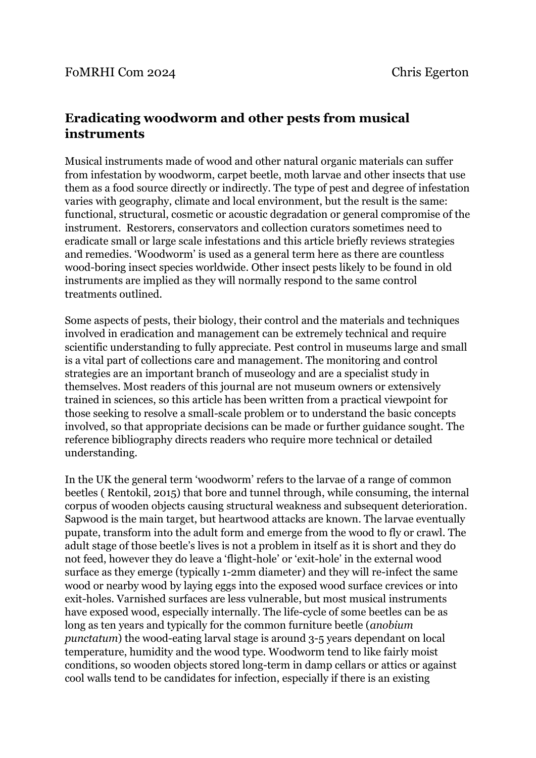# **Eradicating woodworm and other pests from musical instruments**

Musical instruments made of wood and other natural organic materials can suffer from infestation by woodworm, carpet beetle, moth larvae and other insects that use them as a food source directly or indirectly. The type of pest and degree of infestation varies with geography, climate and local environment, but the result is the same: functional, structural, cosmetic or acoustic degradation or general compromise of the instrument. Restorers, conservators and collection curators sometimes need to eradicate small or large scale infestations and this article briefly reviews strategies and remedies. 'Woodworm' is used as a general term here as there are countless wood-boring insect species worldwide. Other insect pests likely to be found in old instruments are implied as they will normally respond to the same control treatments outlined.

Some aspects of pests, their biology, their control and the materials and techniques involved in eradication and management can be extremely technical and require scientific understanding to fully appreciate. Pest control in museums large and small is a vital part of collections care and management. The monitoring and control strategies are an important branch of museology and are a specialist study in themselves. Most readers of this journal are not museum owners or extensively trained in sciences, so this article has been written from a practical viewpoint for those seeking to resolve a small-scale problem or to understand the basic concepts involved, so that appropriate decisions can be made or further guidance sought. The reference bibliography directs readers who require more technical or detailed understanding.

In the UK the general term 'woodworm' refers to the larvae of a range of common beetles ( Rentokil, 2015) that bore and tunnel through, while consuming, the internal corpus of wooden objects causing structural weakness and subsequent deterioration. Sapwood is the main target, but heartwood attacks are known. The larvae eventually pupate, transform into the adult form and emerge from the wood to fly or crawl. The adult stage of those beetle's lives is not a problem in itself as it is short and they do not feed, however they do leave a 'flight-hole' or 'exit-hole' in the external wood surface as they emerge (typically 1-2mm diameter) and they will re-infect the same wood or nearby wood by laying eggs into the exposed wood surface crevices or into exit-holes. Varnished surfaces are less vulnerable, but most musical instruments have exposed wood, especially internally. The life-cycle of some beetles can be as long as ten years and typically for the common furniture beetle (*anobium punctatum*) the wood-eating larval stage is around 3-5 years dependant on local temperature, humidity and the wood type. Woodworm tend to like fairly moist conditions, so wooden objects stored long-term in damp cellars or attics or against cool walls tend to be candidates for infection, especially if there is an existing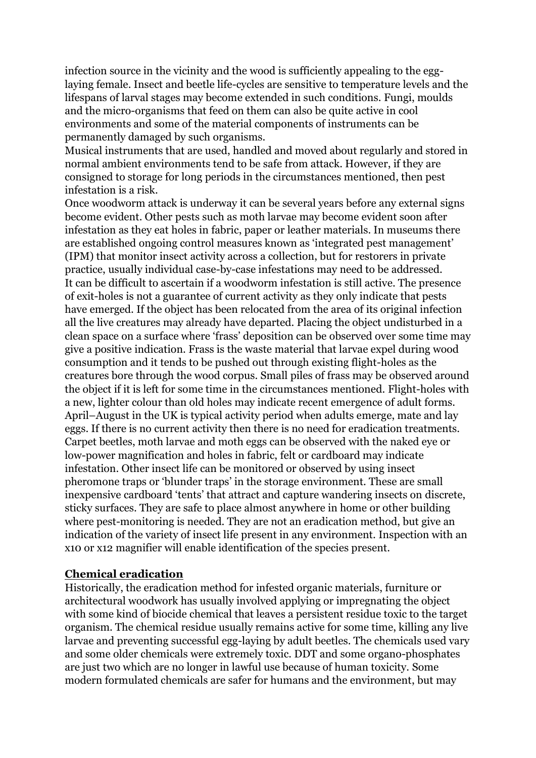infection source in the vicinity and the wood is sufficiently appealing to the egglaying female. Insect and beetle life-cycles are sensitive to temperature levels and the lifespans of larval stages may become extended in such conditions. Fungi, moulds and the micro-organisms that feed on them can also be quite active in cool environments and some of the material components of instruments can be permanently damaged by such organisms.

Musical instruments that are used, handled and moved about regularly and stored in normal ambient environments tend to be safe from attack. However, if they are consigned to storage for long periods in the circumstances mentioned, then pest infestation is a risk.

Once woodworm attack is underway it can be several years before any external signs become evident. Other pests such as moth larvae may become evident soon after infestation as they eat holes in fabric, paper or leather materials. In museums there are established ongoing control measures known as 'integrated pest management' (IPM) that monitor insect activity across a collection, but for restorers in private practice, usually individual case-by-case infestations may need to be addressed. It can be difficult to ascertain if a woodworm infestation is still active. The presence of exit-holes is not a guarantee of current activity as they only indicate that pests have emerged. If the object has been relocated from the area of its original infection all the live creatures may already have departed. Placing the object undisturbed in a clean space on a surface where 'frass' deposition can be observed over some time may give a positive indication. Frass is the waste material that larvae expel during wood consumption and it tends to be pushed out through existing flight-holes as the creatures bore through the wood corpus. Small piles of frass may be observed around the object if it is left for some time in the circumstances mentioned. Flight-holes with a new, lighter colour than old holes may indicate recent emergence of adult forms. April–August in the UK is typical activity period when adults emerge, mate and lay eggs. If there is no current activity then there is no need for eradication treatments. Carpet beetles, moth larvae and moth eggs can be observed with the naked eye or low-power magnification and holes in fabric, felt or cardboard may indicate infestation. Other insect life can be monitored or observed by using insect pheromone traps or 'blunder traps' in the storage environment. These are small inexpensive cardboard 'tents' that attract and capture wandering insects on discrete, sticky surfaces. They are safe to place almost anywhere in home or other building where pest-monitoring is needed. They are not an eradication method, but give an indication of the variety of insect life present in any environment. Inspection with an x10 or x12 magnifier will enable identification of the species present.

#### **Chemical eradication**

Historically, the eradication method for infested organic materials, furniture or architectural woodwork has usually involved applying or impregnating the object with some kind of biocide chemical that leaves a persistent residue toxic to the target organism. The chemical residue usually remains active for some time, killing any live larvae and preventing successful egg-laying by adult beetles. The chemicals used vary and some older chemicals were extremely toxic. DDT and some organo-phosphates are just two which are no longer in lawful use because of human toxicity. Some modern formulated chemicals are safer for humans and the environment, but may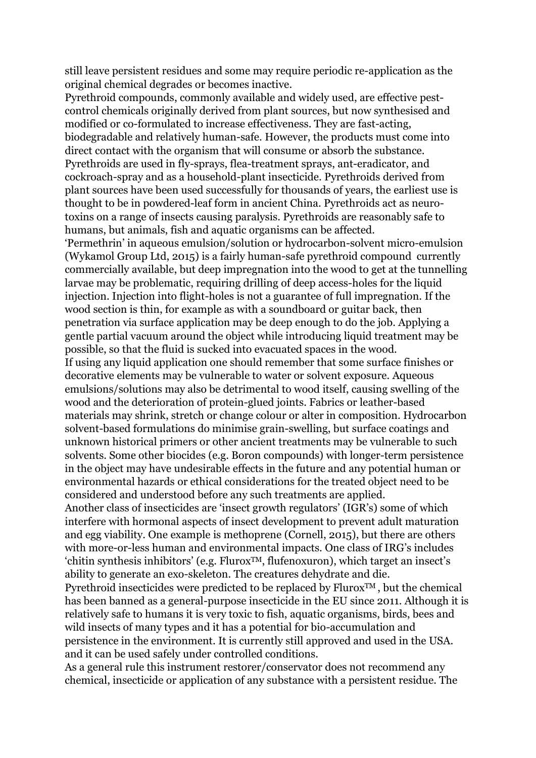still leave persistent residues and some may require periodic re-application as the original chemical degrades or becomes inactive.

Pyrethroid compounds, commonly available and widely used, are effective pestcontrol chemicals originally derived from plant sources, but now synthesised and modified or co-formulated to increase effectiveness. They are fast-acting, biodegradable and relatively human-safe. However, the products must come into direct contact with the organism that will consume or absorb the substance. Pyrethroids are used in fly-sprays, flea-treatment sprays, ant-eradicator, and cockroach-spray and as a household-plant insecticide. Pyrethroids derived from plant sources have been used successfully for thousands of years, the earliest use is thought to be in powdered-leaf form in ancient China. Pyrethroids act as neurotoxins on a range of insects causing paralysis. Pyrethroids are reasonably safe to humans, but animals, fish and aquatic organisms can be affected. 'Permethrin' in aqueous emulsion/solution or hydrocarbon-solvent micro-emulsion

(Wykamol Group Ltd, 2015) is a fairly human-safe pyrethroid compound currently commercially available, but deep impregnation into the wood to get at the tunnelling larvae may be problematic, requiring drilling of deep access-holes for the liquid injection. Injection into flight-holes is not a guarantee of full impregnation. If the wood section is thin, for example as with a soundboard or guitar back, then penetration via surface application may be deep enough to do the job. Applying a gentle partial vacuum around the object while introducing liquid treatment may be possible, so that the fluid is sucked into evacuated spaces in the wood. If using any liquid application one should remember that some surface finishes or decorative elements may be vulnerable to water or solvent exposure. Aqueous emulsions/solutions may also be detrimental to wood itself, causing swelling of the wood and the deterioration of protein-glued joints. Fabrics or leather-based materials may shrink, stretch or change colour or alter in composition. Hydrocarbon solvent-based formulations do minimise grain-swelling, but surface coatings and unknown historical primers or other ancient treatments may be vulnerable to such solvents. Some other biocides (e.g. Boron compounds) with longer-term persistence in the object may have undesirable effects in the future and any potential human or environmental hazards or ethical considerations for the treated object need to be considered and understood before any such treatments are applied.

Another class of insecticides are 'insect growth regulators' (IGR's) some of which interfere with hormonal aspects of insect development to prevent adult maturation and egg viability. One example is methoprene (Cornell, 2015), but there are others with more-or-less human and environmental impacts. One class of IRG's includes 'chitin synthesis inhibitors' (e.g. FluroxTM, flufenoxuron), which target an insect's ability to generate an exo-skeleton. The creatures dehydrate and die.

Pyrethroid insecticides were predicted to be replaced by  $Flurox^{TM}$ , but the chemical has been banned as a general-purpose insecticide in the EU since 2011. Although it is relatively safe to humans it is very toxic to fish, aquatic organisms, birds, bees and wild insects of many types and it has a potential for bio-accumulation and persistence in the environment. It is currently still approved and used in the USA. and it can be used safely under controlled conditions.

As a general rule this instrument restorer/conservator does not recommend any chemical, insecticide or application of any substance with a persistent residue. The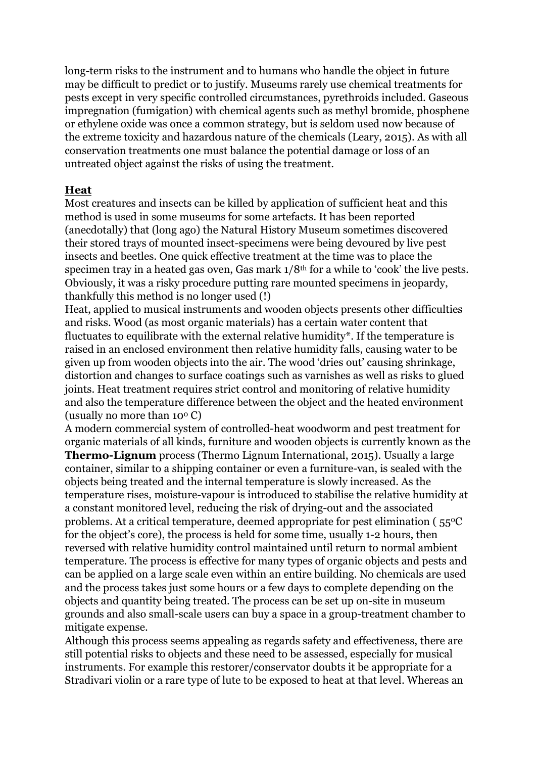long-term risks to the instrument and to humans who handle the object in future may be difficult to predict or to justify. Museums rarely use chemical treatments for pests except in very specific controlled circumstances, pyrethroids included. Gaseous impregnation (fumigation) with chemical agents such as methyl bromide, phosphene or ethylene oxide was once a common strategy, but is seldom used now because of the extreme toxicity and hazardous nature of the chemicals (Leary, 2015). As with all conservation treatments one must balance the potential damage or loss of an untreated object against the risks of using the treatment.

## **Heat**

Most creatures and insects can be killed by application of sufficient heat and this method is used in some museums for some artefacts. It has been reported (anecdotally) that (long ago) the Natural History Museum sometimes discovered their stored trays of mounted insect-specimens were being devoured by live pest insects and beetles. One quick effective treatment at the time was to place the specimen tray in a heated gas oven, Gas mark  $1/8<sup>th</sup>$  for a while to 'cook' the live pests. Obviously, it was a risky procedure putting rare mounted specimens in jeopardy, thankfully this method is no longer used (!)

Heat, applied to musical instruments and wooden objects presents other difficulties and risks. Wood (as most organic materials) has a certain water content that fluctuates to equilibrate with the external relative humidity\*. If the temperature is raised in an enclosed environment then relative humidity falls, causing water to be given up from wooden objects into the air. The wood 'dries out' causing shrinkage, distortion and changes to surface coatings such as varnishes as well as risks to glued joints. Heat treatment requires strict control and monitoring of relative humidity and also the temperature difference between the object and the heated environment (usually no more than  $10^{\circ}$  C)

A modern commercial system of controlled-heat woodworm and pest treatment for organic materials of all kinds, furniture and wooden objects is currently known as the **Thermo-Lignum** process (Thermo Lignum International, 2015). Usually a large container, similar to a shipping container or even a furniture-van, is sealed with the objects being treated and the internal temperature is slowly increased. As the temperature rises, moisture-vapour is introduced to stabilise the relative humidity at a constant monitored level, reducing the risk of drying-out and the associated problems. At a critical temperature, deemed appropriate for pest elimination ( 550C for the object's core), the process is held for some time, usually 1-2 hours, then reversed with relative humidity control maintained until return to normal ambient temperature. The process is effective for many types of organic objects and pests and can be applied on a large scale even within an entire building. No chemicals are used and the process takes just some hours or a few days to complete depending on the objects and quantity being treated. The process can be set up on-site in museum grounds and also small-scale users can buy a space in a group-treatment chamber to mitigate expense.

Although this process seems appealing as regards safety and effectiveness, there are still potential risks to objects and these need to be assessed, especially for musical instruments. For example this restorer/conservator doubts it be appropriate for a Stradivari violin or a rare type of lute to be exposed to heat at that level. Whereas an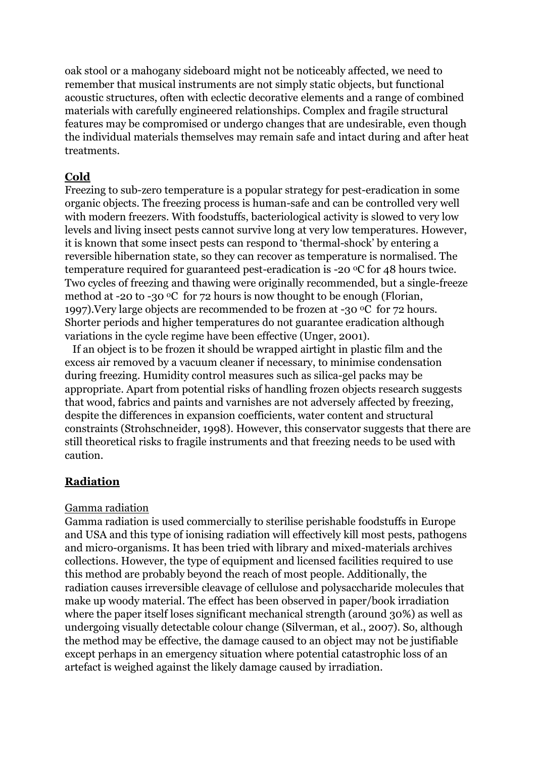oak stool or a mahogany sideboard might not be noticeably affected, we need to remember that musical instruments are not simply static objects, but functional acoustic structures, often with eclectic decorative elements and a range of combined materials with carefully engineered relationships. Complex and fragile structural features may be compromised or undergo changes that are undesirable, even though the individual materials themselves may remain safe and intact during and after heat treatments.

## **Cold**

Freezing to sub-zero temperature is a popular strategy for pest-eradication in some organic objects. The freezing process is human-safe and can be controlled very well with modern freezers. With foodstuffs, bacteriological activity is slowed to very low levels and living insect pests cannot survive long at very low temperatures. However, it is known that some insect pests can respond to 'thermal-shock' by entering a reversible hibernation state, so they can recover as temperature is normalised. The temperature required for guaranteed pest-eradication is -20 °C for 48 hours twice. Two cycles of freezing and thawing were originally recommended, but a single-freeze method at -20 to -30  $\rm{^{\circ}C}$  for 72 hours is now thought to be enough (Florian, 1997).Very large objects are recommended to be frozen at -30 0C for 72 hours. Shorter periods and higher temperatures do not guarantee eradication although variations in the cycle regime have been effective (Unger, 2001).

 If an object is to be frozen it should be wrapped airtight in plastic film and the excess air removed by a vacuum cleaner if necessary, to minimise condensation during freezing. Humidity control measures such as silica-gel packs may be appropriate. Apart from potential risks of handling frozen objects research suggests that wood, fabrics and paints and varnishes are not adversely affected by freezing, despite the differences in expansion coefficients, water content and structural constraints (Strohschneider, 1998). However, this conservator suggests that there are still theoretical risks to fragile instruments and that freezing needs to be used with caution.

## **Radiation**

#### Gamma radiation

Gamma radiation is used commercially to sterilise perishable foodstuffs in Europe and USA and this type of ionising radiation will effectively kill most pests, pathogens and micro-organisms. It has been tried with library and mixed-materials archives collections. However, the type of equipment and licensed facilities required to use this method are probably beyond the reach of most people. Additionally, the radiation causes irreversible cleavage of cellulose and polysaccharide molecules that make up woody material. The effect has been observed in paper/book irradiation where the paper itself loses significant mechanical strength (around 30%) as well as undergoing visually detectable colour change (Silverman, et al., 2007). So, although the method may be effective, the damage caused to an object may not be justifiable except perhaps in an emergency situation where potential catastrophic loss of an artefact is weighed against the likely damage caused by irradiation.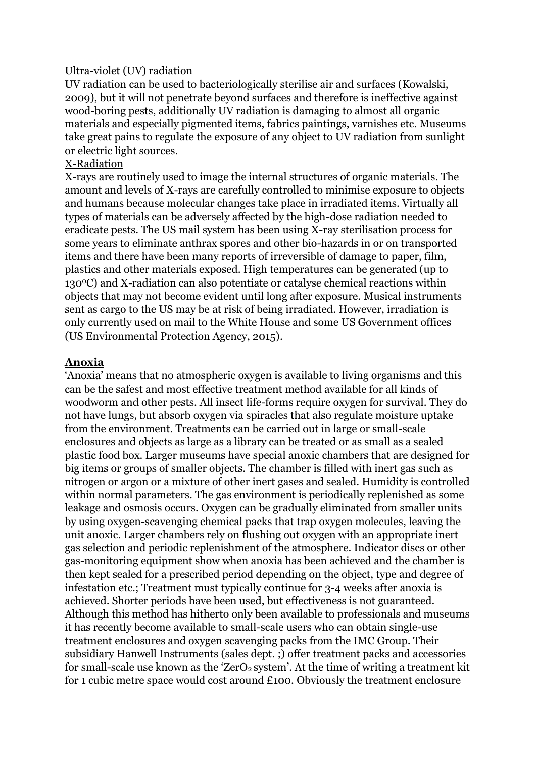#### Ultra-violet (UV) radiation

UV radiation can be used to bacteriologically sterilise air and surfaces (Kowalski, 2009), but it will not penetrate beyond surfaces and therefore is ineffective against wood-boring pests, additionally UV radiation is damaging to almost all organic materials and especially pigmented items, fabrics paintings, varnishes etc. Museums take great pains to regulate the exposure of any object to UV radiation from sunlight or electric light sources.

#### X-Radiation

X-rays are routinely used to image the internal structures of organic materials. The amount and levels of X-rays are carefully controlled to minimise exposure to objects and humans because molecular changes take place in irradiated items. Virtually all types of materials can be adversely affected by the high-dose radiation needed to eradicate pests. The US mail system has been using X-ray sterilisation process for some years to eliminate anthrax spores and other bio-hazards in or on transported items and there have been many reports of irreversible of damage to paper, film, plastics and other materials exposed. High temperatures can be generated (up to 1300C) and X-radiation can also potentiate or catalyse chemical reactions within objects that may not become evident until long after exposure. Musical instruments sent as cargo to the US may be at risk of being irradiated. However, irradiation is only currently used on mail to the White House and some US Government offices (US Environmental Protection Agency, 2015).

## **Anoxia**

'Anoxia' means that no atmospheric oxygen is available to living organisms and this can be the safest and most effective treatment method available for all kinds of woodworm and other pests. All insect life-forms require oxygen for survival. They do not have lungs, but absorb oxygen via spiracles that also regulate moisture uptake from the environment. Treatments can be carried out in large or small-scale enclosures and objects as large as a library can be treated or as small as a sealed plastic food box. Larger museums have special anoxic chambers that are designed for big items or groups of smaller objects. The chamber is filled with inert gas such as nitrogen or argon or a mixture of other inert gases and sealed. Humidity is controlled within normal parameters. The gas environment is periodically replenished as some leakage and osmosis occurs. Oxygen can be gradually eliminated from smaller units by using oxygen-scavenging chemical packs that trap oxygen molecules, leaving the unit anoxic. Larger chambers rely on flushing out oxygen with an appropriate inert gas selection and periodic replenishment of the atmosphere. Indicator discs or other gas-monitoring equipment show when anoxia has been achieved and the chamber is then kept sealed for a prescribed period depending on the object, type and degree of infestation etc.; Treatment must typically continue for 3-4 weeks after anoxia is achieved. Shorter periods have been used, but effectiveness is not guaranteed. Although this method has hitherto only been available to professionals and museums it has recently become available to small-scale users who can obtain single-use treatment enclosures and oxygen scavenging packs from the IMC Group. Their subsidiary Hanwell Instruments (sales dept. ;) offer treatment packs and accessories for small-scale use known as the 'ZerO<sub>2</sub> system'. At the time of writing a treatment kit for 1 cubic metre space would cost around £100. Obviously the treatment enclosure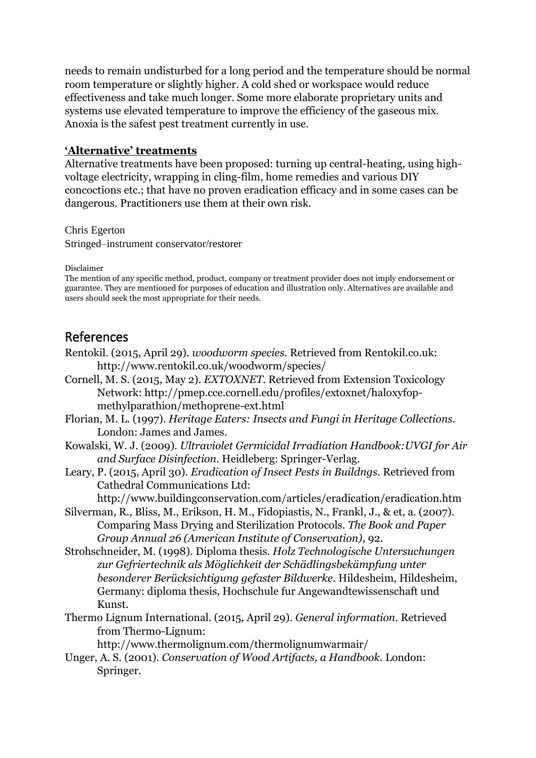needs to remain undisturbed for a long period and the temperature should be normal room temperature or slightly higher. A cold shed or workspace would reduce effectiveness and take much longer. Some more elaborate proprietary units and systems use elevated temperature to improve the efficiency of the gaseous mix. Anoxia is the safest pest treatment currently in use.

## **'Alternative' treatments**

Alternative treatments have been proposed: turning up central-heating, using highvoltage electricity, wrapping in cling-film, home remedies and various DIY concoctions etc.; that have no proven eradication efficacy and in some cases can be dangerous. Practitioners use them at their own risk.

Chris Egerton Stringed–instrument conservator/restorer

Disclaimer

The mention of any specific method, product, company or treatment provider does not imply endorsement or guarantee. They are mentioned for purposes of education and illustration only. Alternatives are available and users should seek the most appropriate for their needs.

## References

- Rentokil. (2015, April 29). *woodworm species*. Retrieved from Rentokil.co.uk: http://www.rentokil.co.uk/woodworm/species/
- Cornell, M. S. (2015, May 2). *EXTOXNET*. Retrieved from Extension Toxicology Network: http://pmep.cce.cornell.edu/profiles/extoxnet/haloxyfopmethylparathion/methoprene-ext.html
- Florian, M. L. (1997). *Heritage Eaters: Insects and Fungi in Heritage Collections.* London: James and James.
- Kowalski, W. J. (2009). *Ultraviolet Germicidal Irradiation Handbook:UVGI for Air and Surface Disinfection.* Heidleberg: Springer-Verlag.
- Leary, P. (2015, April 30). *Eradication of Insect Pests in Buildngs*. Retrieved from Cathedral Communications Ltd:

http://www.buildingconservation.com/articles/eradication/eradication.htm

- Silverman, R., Bliss, M., Erikson, H. M., Fidopiastis, N., Frankl, J., & et, a. (2007). Comparing Mass Drying and Sterilization Protocols. *The Book and Paper Group Annual 26 (American Institute of Conservation)*, 92.
- Strohschneider, M. (1998). Diploma thesis. *Holz Technologische Untersuchungen zur Gefriertechnik als Möglichkeit der Schädlingsbekämpfung unter besonderer Berücksichtigung gefaster Bildwerke*. Hildesheim, Hildesheim, Germany: diploma thesis, Hochschule fur Angewandtewissenschaft und Kunst.
- Thermo Lignum International. (2015, April 29). *General information*. Retrieved from Thermo-Lignum:

http://www.thermolignum.com/thermolignumwarmair/

Unger, A. S. (2001). *Conservation of Wood Artifacts, a Handbook.* London: Springer.